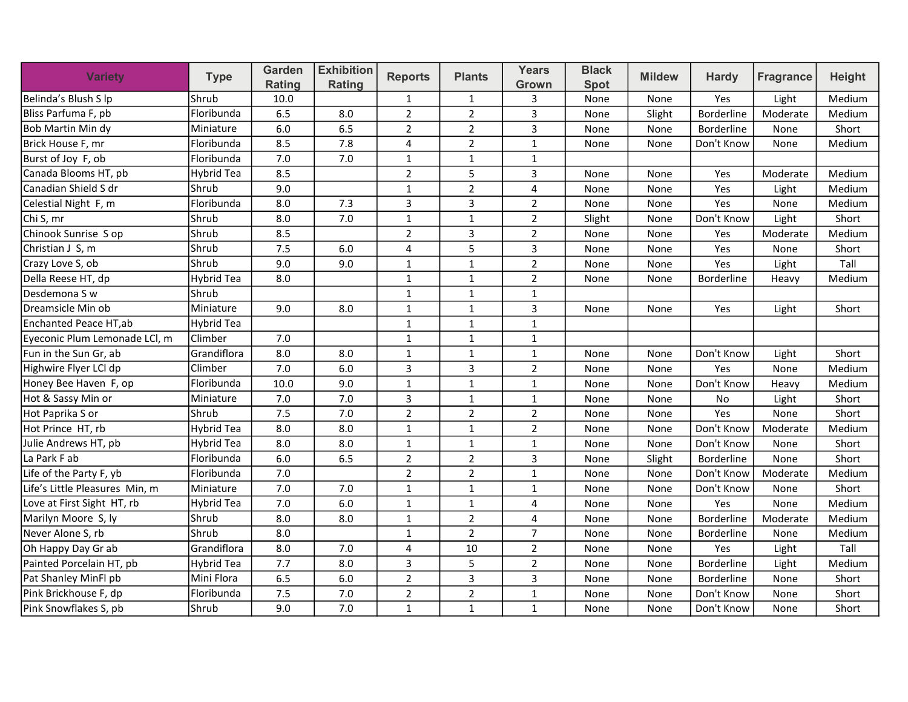| <b>Variety</b>                 | <b>Type</b>       | Garden<br>Rating | <b>Exhibition</b><br>Rating | <b>Reports</b> | <b>Plants</b>  | <b>Years</b><br>Grown | <b>Black</b><br><b>Spot</b> | <b>Mildew</b> | <b>Hardy</b>      | <b>Fragrance</b> | <b>Height</b> |
|--------------------------------|-------------------|------------------|-----------------------------|----------------|----------------|-----------------------|-----------------------------|---------------|-------------------|------------------|---------------|
| Belinda's Blush S lp           | Shrub             | 10.0             |                             | $\mathbf{1}$   | $\mathbf{1}$   | 3                     | None                        | None          | Yes               | Light            | Medium        |
| Bliss Parfuma F, pb            | Floribunda        | 6.5              | 8.0                         | $\overline{2}$ | $\overline{2}$ | 3                     | None                        | Slight        | Borderline        | Moderate         | Medium        |
| Bob Martin Min dy              | Miniature         | 6.0              | 6.5                         | $\overline{2}$ | $\overline{2}$ | 3                     | None                        | None          | <b>Borderline</b> | None             | Short         |
| Brick House F, mr              | Floribunda        | 8.5              | 7.8                         | 4              | $\overline{2}$ | $\mathbf{1}$          | None                        | None          | Don't Know        | None             | Medium        |
| Burst of Joy F, ob             | Floribunda        | 7.0              | 7.0                         | $\mathbf{1}$   | $\mathbf{1}$   | $\mathbf{1}$          |                             |               |                   |                  |               |
| Canada Blooms HT, pb           | <b>Hybrid Tea</b> | 8.5              |                             | $\overline{2}$ | 5              | $\overline{3}$        | None                        | None          | Yes               | Moderate         | Medium        |
| Canadian Shield S dr           | lShrub            | 9.0              |                             | $\mathbf{1}$   | $\overline{2}$ | $\overline{4}$        | None                        | None          | Yes               | Light            | Medium        |
| Celestial Night F, m           | Floribunda        | 8.0              | 7.3                         | 3              | $\overline{3}$ | $\overline{2}$        | None                        | None          | Yes               | None             | Medium        |
| Chi S, mr                      | Shrub             | 8.0              | 7.0                         | $\mathbf{1}$   | $\mathbf{1}$   | $\overline{2}$        | Slight                      | None          | Don't Know        | Light            | Short         |
| Chinook Sunrise S op           | Shrub             | 8.5              |                             | $\overline{2}$ | $\overline{3}$ | $\overline{2}$        | None                        | None          | Yes               | Moderate         | Medium        |
| Christian J S, m               | Shrub             | 7.5              | $6.0\,$                     | 4              | 5              | 3                     | None                        | None          | Yes               | None             | Short         |
| Crazy Love S, ob               | Shrub             | 9.0              | 9.0                         | $\mathbf{1}$   | $\mathbf{1}$   | $\overline{2}$        | None                        | None          | Yes               | Light            | Tall          |
| Della Reese HT, dp             | Hybrid Tea        | 8.0              |                             | $\mathbf{1}$   | $\mathbf{1}$   | $\overline{2}$        | None                        | None          | Borderline        | Heavy            | Medium        |
| Desdemona S w                  | Shrub             |                  |                             | $\mathbf{1}$   | $\mathbf{1}$   | $\mathbf{1}$          |                             |               |                   |                  |               |
| Dreamsicle Min ob              | Miniature         | 9.0              | 8.0                         | $\mathbf 1$    | $\mathbf{1}$   | 3                     | None                        | None          | Yes               | Light            | Short         |
| Enchanted Peace HT, ab         | Hybrid Tea        |                  |                             | $\mathbf{1}$   | $\mathbf{1}$   | $\mathbf{1}$          |                             |               |                   |                  |               |
| Eyeconic Plum Lemonade LCl, m  | lClimber          | 7.0              |                             | $\mathbf 1$    | $\mathbf{1}$   | $\mathbf{1}$          |                             |               |                   |                  |               |
| Fun in the Sun Gr, ab          | Grandiflora       | 8.0              | 8.0                         | $\mathbf{1}$   | $\mathbf{1}$   | $\mathbf{1}$          | None                        | None          | Don't Know        | Light            | Short         |
| Highwire Flyer LCl dp          | Climber           | $7.0\,$          | 6.0                         | $\mathsf 3$    | 3              | $\overline{2}$        | None                        | None          | Yes               | None             | Medium        |
| Honey Bee Haven F, op          | Floribunda        | 10.0             | 9.0                         | $\mathbf{1}$   | $\mathbf{1}$   | $\mathbf{1}$          | None                        | None          | Don't Know        | Heavy            | Medium        |
| Hot & Sassy Min or             | Miniature         | 7.0              | 7.0                         | $\mathsf 3$    | $\mathbf{1}$   | $\mathbf 1$           | None                        | None          | No                | Light            | Short         |
| Hot Paprika S or               | lShrub            | 7.5              | 7.0                         | $\overline{2}$ | $\overline{2}$ | $\overline{2}$        | None                        | None          | Yes               | None             | Short         |
| Hot Prince HT, rb              | Hybrid Tea        | 8.0              | 8.0                         | $\mathbf{1}$   | $\mathbf{1}$   | $\overline{2}$        | None                        | None          | Don't Know        | Moderate         | Medium        |
| Julie Andrews HT, pb           | Hybrid Tea        | 8.0              | 8.0                         | $\mathbf{1}$   | $\mathbf{1}$   | $\mathbf{1}$          | None                        | None          | Don't Know        | None             | Short         |
| La Park F ab                   | Floribunda        | 6.0              | 6.5                         | $\overline{2}$ | $\overline{2}$ | 3                     | None                        | Slight        | Borderline        | None             | Short         |
| Life of the Party F, yb        | Floribunda        | 7.0              |                             | $\overline{2}$ | $\overline{2}$ | $\mathbf{1}$          | None                        | None          | Don't Know        | Moderate         | Medium        |
| Life's Little Pleasures Min, m | Miniature         | 7.0              | 7.0                         | $\mathbf 1$    | $\mathbf{1}$   | $\mathbf{1}$          | None                        | None          | Don't Know        | None             | Short         |
| Love at First Sight HT, rb     | Hybrid Tea        | 7.0              | 6.0                         | $\mathbf{1}$   | $\mathbf{1}$   | $\overline{4}$        | None                        | None          | Yes               | None             | Medium        |
| Marilyn Moore S, ly            | Shrub             | 8.0              | 8.0                         | $\mathbf 1$    | $\overline{2}$ | $\overline{4}$        | None                        | None          | Borderline        | Moderate         | Medium        |
| Never Alone S, rb              | Shrub             | 8.0              |                             | $\mathbf{1}$   | $\overline{2}$ | $\overline{7}$        | None                        | None          | Borderline        | None             | Medium        |
| Oh Happy Day Gr ab             | Grandiflora       | 8.0              | 7.0                         | 4              | 10             | $\overline{2}$        | None                        | None          | Yes               | Light            | Tall          |
| Painted Porcelain HT, pb       | Hybrid Tea        | 7.7              | 8.0                         | 3              | 5              | $\overline{2}$        | None                        | None          | <b>Borderline</b> | Light            | Medium        |
| Pat Shanley MinFl pb           | Mini Flora        | 6.5              | 6.0                         | $\overline{2}$ | 3              | 3                     | None                        | None          | Borderline        | None             | Short         |
| Pink Brickhouse F, dp          | Floribunda        | 7.5              | 7.0                         | $\overline{2}$ | $\overline{2}$ | $\mathbf{1}$          | None                        | None          | Don't Know        | None             | Short         |
| Pink Snowflakes S, pb          | Shrub             | 9.0              | 7.0                         | $\mathbf{1}$   | $\mathbf{1}$   | $\mathbf{1}$          | None                        | None          | Don't Know        | None             | Short         |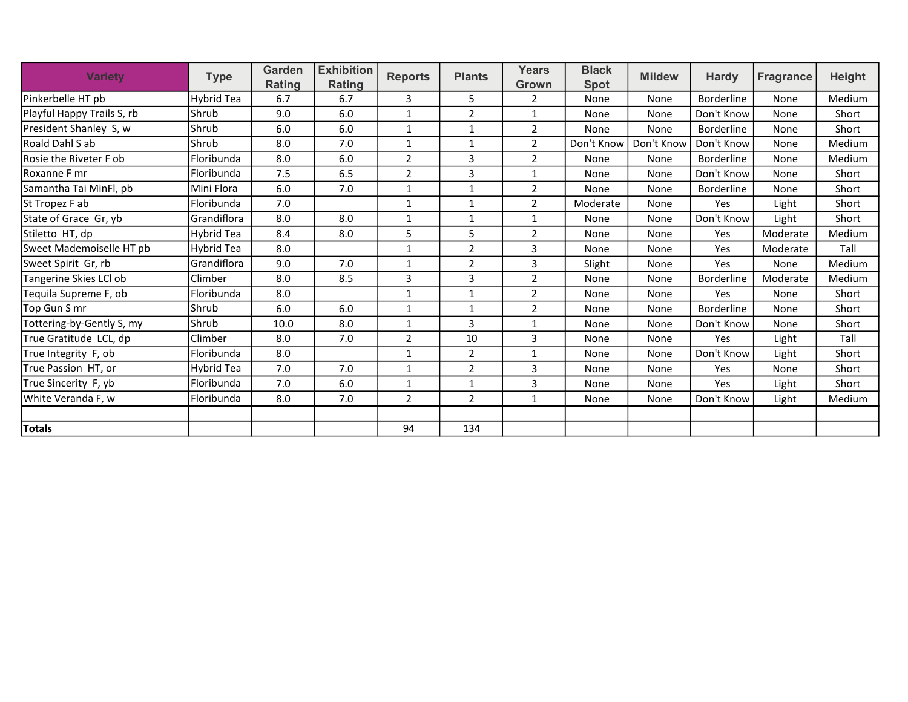| <b>Variety</b>             | <b>Type</b> | Garden<br><b>Rating</b> | <b>Exhibition</b><br>Rating | <b>Reports</b> | <b>Plants</b>  | <b>Years</b><br>Grown | <b>Black</b><br><b>Spot</b> | <b>Mildew</b> | <b>Hardy</b>      | <b>Fragrance</b> | <b>Height</b> |
|----------------------------|-------------|-------------------------|-----------------------------|----------------|----------------|-----------------------|-----------------------------|---------------|-------------------|------------------|---------------|
| Pinkerbelle HT pb          | Hybrid Tea  | 6.7                     | 6.7                         | 3              | 5              | 2                     | None                        | None          | <b>Borderline</b> | None             | Medium        |
| Playful Happy Trails S, rb | Shrub       | 9.0                     | 6.0                         | $\mathbf{1}$   | 2              | $\mathbf 1$           | None                        | None          | Don't Know        | None             | Short         |
| President Shanley S, w     | Shrub       | 6.0                     | 6.0                         | $\mathbf{1}$   | 1              | 2                     | None                        | None          | Borderline        | None             | Short         |
| lRoald Dahl S ab           | Shrub       | 8.0                     | 7.0                         | $\mathbf{1}$   | 1              | 2                     | Don't Know                  | Don't Know    | Don't Know        | None             | Medium        |
| Rosie the Riveter F ob     | Floribunda  | 8.0                     | 6.0                         | $\overline{2}$ | 3              | 2                     | None                        | None          | Borderline        | None             | Medium        |
| lRoxanne F mr              | Floribunda  | 7.5                     | 6.5                         | $\overline{2}$ | 3              | 1                     | None                        | None          | Don't Know        | None             | Short         |
| Samantha Tai MinFl, pb     | Mini Flora  | 6.0                     | 7.0                         | 1              | $\mathbf{1}$   | $\overline{2}$        | None                        | None          | <b>Borderline</b> | None             | Short         |
| St Tropez F ab             | Floribunda  | 7.0                     |                             | 1              | 1              | 2                     | Moderate                    | None          | Yes               | Light            | Short         |
| State of Grace Gr, yb      | Grandiflora | 8.0                     | 8.0                         | 1              | 1              | 1                     | None                        | None          | Don't Know        | Light            | Short         |
| Stiletto HT, dp            | Hybrid Tea  | 8.4                     | 8.0                         | 5              | 5              | $\overline{2}$        | None                        | None          | Yes               | Moderate         | Medium        |
| Sweet Mademoiselle HT pb   | Hybrid Tea  | 8.0                     |                             | $\mathbf{1}$   | $\overline{2}$ | $\overline{3}$        | None                        | None          | Yes               | Moderate         | Tall          |
| Sweet Spirit Gr, rb        | Grandiflora | 9.0                     | 7.0                         | 1              | 2              | 3                     | Slight                      | None          | Yes               | None             | Medium        |
| Tangerine Skies LCI ob     | Climber     | 8.0                     | 8.5                         | 3              | 3              | $\overline{2}$        | None                        | None          | <b>Borderline</b> | Moderate         | Medium        |
| Teguila Supreme F, ob      | Floribunda  | 8.0                     |                             | 1              | $\mathbf{1}$   | $\overline{2}$        | None                        | None          | Yes               | None             | Short         |
| Top Gun S mr               | Shrub       | 6.0                     | 6.0                         | $\mathbf{1}$   | 1              | $\overline{2}$        | None                        | None          | <b>Borderline</b> | None             | Short         |
| Tottering-by-Gently S, my  | Shrub       | 10.0                    | 8.0                         | $\mathbf{1}$   | 3              | $\mathbf{1}$          | None                        | None          | Don't Know        | None             | Short         |
| True Gratitude LCL, dp     | Climber     | 8.0                     | 7.0                         | 2              | 10             | 3                     | None                        | None          | Yes               | Light            | Tall          |
| True Integrity F, ob       | Floribunda  | 8.0                     |                             | $\mathbf{1}$   | $\overline{2}$ | $\mathbf{1}$          | None                        | None          | Don't Know        | Light            | Short         |
| True Passion HT, or        | Hybrid Tea  | 7.0                     | 7.0                         | 1              | 2              | 3                     | None                        | None          | Yes               | None             | Short         |
| True Sincerity F, yb       | Floribunda  | 7.0                     | 6.0                         | $\mathbf{1}$   | $\mathbf 1$    | 3                     | None                        | None          | Yes               | Light            | Short         |
| White Veranda F, w         | Floribunda  | 8.0                     | 7.0                         | $\overline{2}$ | $\overline{2}$ | $\mathbf{1}$          | None                        | None          | Don't Know        | Light            | Medium        |
|                            |             |                         |                             |                |                |                       |                             |               |                   |                  |               |
| Totals                     |             |                         |                             | 94             | 134            |                       |                             |               |                   |                  |               |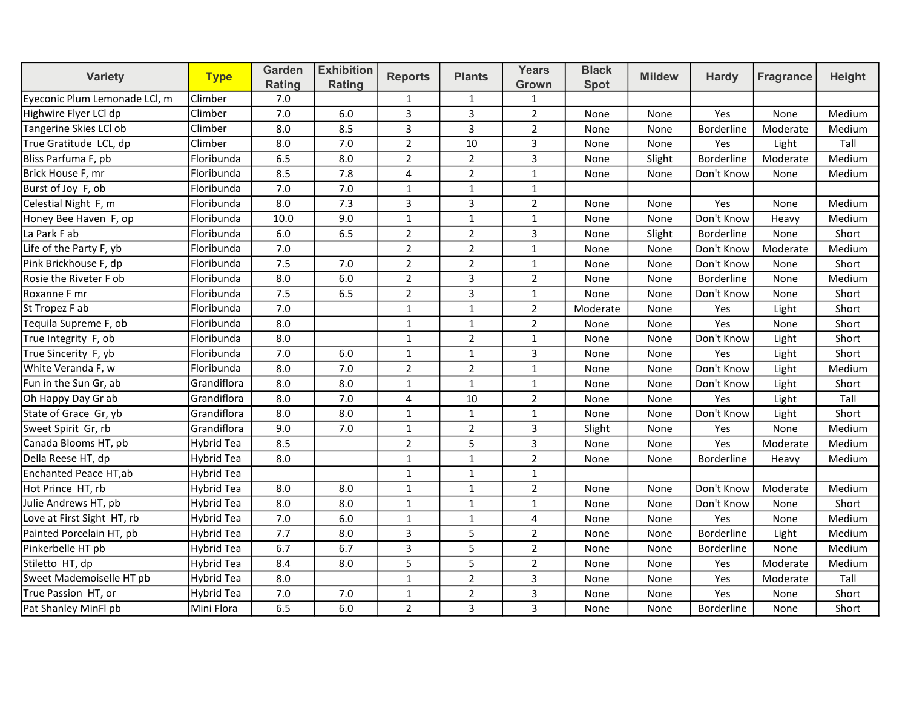| <b>Variety</b>                | <b>Type</b>       | Garden<br>Rating | <b>Exhibition</b><br>Rating | <b>Reports</b> | <b>Plants</b>  | <b>Years</b><br>Grown | <b>Black</b><br><b>Spot</b> | <b>Mildew</b> | <b>Hardy</b>      | <b>Fragrance</b> | Height |
|-------------------------------|-------------------|------------------|-----------------------------|----------------|----------------|-----------------------|-----------------------------|---------------|-------------------|------------------|--------|
| Eyeconic Plum Lemonade LCI, m | Climber           | 7.0              |                             | $\mathbf{1}$   | $\mathbf{1}$   | $\mathbf{1}$          |                             |               |                   |                  |        |
| Highwire Flyer LCI dp         | Climber           | 7.0              | 6.0                         | 3              | $\overline{3}$ | $\overline{2}$        | None                        | None          | Yes               | None             | Medium |
| Tangerine Skies LCl ob        | Climber           | 8.0              | 8.5                         | 3              | 3              | $\overline{2}$        | None                        | None          | <b>Borderline</b> | Moderate         | Medium |
| True Gratitude LCL, dp        | Climber           | 8.0              | 7.0                         | $\overline{2}$ | 10             | 3                     | None                        | None          | Yes               | Light            | Tall   |
| Bliss Parfuma F, pb           | Floribunda        | 6.5              | 8.0                         | $\overline{2}$ | $\overline{2}$ | 3                     | None                        | Slight        | Borderline        | Moderate         | Medium |
| Brick House F, mr             | Floribunda        | 8.5              | 7.8                         | $\overline{4}$ | $\overline{2}$ | $\mathbf{1}$          | None                        | None          | Don't Know        | None             | Medium |
| Burst of Joy F, ob            | Floribunda        | 7.0              | 7.0                         | $\mathbf{1}$   | $\mathbf 1$    | $\mathbf{1}$          |                             |               |                   |                  |        |
| Celestial Night F, m          | Floribunda        | 8.0              | 7.3                         | 3              | $\overline{3}$ | $\overline{2}$        | None                        | None          | Yes               | None             | Medium |
| Honey Bee Haven F, op         | Floribunda        | 10.0             | 9.0                         | $\mathbf{1}$   | $\mathbf{1}$   | $\mathbf{1}$          | None                        | None          | Don't Know        | Heavy            | Medium |
| La Park F ab                  | Floribunda        | 6.0              | 6.5                         | $\overline{2}$ | $\overline{2}$ | 3                     | None                        | Slight        | Borderline        | None             | Short  |
| Life of the Party F, yb       | Floribunda        | 7.0              |                             | $\overline{2}$ | $\overline{2}$ | $\mathbf{1}$          | None                        | None          | Don't Know        | Moderate         | Medium |
| Pink Brickhouse F, dp         | Floribunda        | 7.5              | 7.0                         | $\overline{2}$ | $\overline{2}$ | $\mathbf{1}$          | None                        | None          | Don't Know        | None             | Short  |
| Rosie the Riveter F ob        | Floribunda        | 8.0              | 6.0                         | $\overline{2}$ | 3              | $\overline{2}$        | None                        | None          | Borderline        | None             | Medium |
| Roxanne F mr                  | Floribunda        | 7.5              | 6.5                         | $\overline{2}$ | 3              | $\mathbf{1}$          | None                        | None          | Don't Know        | None             | Short  |
| St Tropez F ab                | Floribunda        | 7.0              |                             | $\mathbf{1}$   | $\mathbf{1}$   | $\overline{2}$        | Moderate                    | None          | Yes               | Light            | Short  |
| Tequila Supreme F, ob         | Floribunda        | 8.0              |                             | $\mathbf{1}$   | $\mathbf{1}$   | $\overline{2}$        | None                        | None          | Yes               | None             | Short  |
| True Integrity F, ob          | Floribunda        | 8.0              |                             | $\mathbf{1}$   | $\overline{2}$ | $\mathbf{1}$          | None                        | None          | Don't Know        | Light            | Short  |
| True Sincerity F, yb          | Floribunda        | 7.0              | 6.0                         | $\mathbf 1$    | $1\,$          | 3                     | None                        | None          | Yes               | Light            | Short  |
| White Veranda F, w            | Floribunda        | 8.0              | 7.0                         | $\mathbf 2$    | $\overline{2}$ | $\mathbf{1}$          | None                        | None          | Don't Know        | Light            | Medium |
| Fun in the Sun Gr, ab         | Grandiflora       | 8.0              | 8.0                         | $\mathbf{1}$   | $\mathbf{1}$   | $\mathbf{1}$          | None                        | None          | Don't Know        | Light            | Short  |
| Oh Happy Day Gr ab            | Grandiflora       | 8.0              | 7.0                         | 4              | 10             | $\overline{2}$        | None                        | None          | Yes               | Light            | Tall   |
| State of Grace Gr, yb         | Grandiflora       | 8.0              | 8.0                         | $\mathbf{1}$   | $\mathbf{1}$   | $\mathbf{1}$          | None                        | None          | Don't Know        | Light            | Short  |
| Sweet Spirit Gr, rb           | Grandiflora       | 9.0              | 7.0                         | $\mathbf{1}$   | $\overline{2}$ | 3                     | Slight                      | None          | Yes               | None             | Medium |
| Canada Blooms HT, pb          | Hybrid Tea        | 8.5              |                             | $\overline{2}$ | 5              | 3                     | None                        | None          | Yes               | Moderate         | Medium |
| Della Reese HT, dp            | Hybrid Tea        | 8.0              |                             | $\mathbf{1}$   | $\mathbf{1}$   | $\overline{2}$        | None                        | None          | Borderline        | Heavy            | Medium |
| Enchanted Peace HT, ab        | Hybrid Tea        |                  |                             | $\mathbf{1}$   | $\mathbf{1}$   | $\mathbf{1}$          |                             |               |                   |                  |        |
| Hot Prince HT, rb             | Hybrid Tea        | 8.0              | 8.0                         | $\mathbf{1}$   | $\mathbf{1}$   | $\overline{2}$        | None                        | None          | Don't Know        | Moderate         | Medium |
| Julie Andrews HT, pb          | Hybrid Tea        | 8.0              | 8.0                         | $\mathbf{1}$   | $\mathbf{1}$   | $\mathbf{1}$          | None                        | None          | Don't Know        | None             | Short  |
| Love at First Sight HT, rb    | Hybrid Tea        | 7.0              | 6.0                         | $\mathbf{1}$   | $\mathbf{1}$   | 4                     | None                        | None          | Yes               | None             | Medium |
| Painted Porcelain HT, pb      | <b>Hybrid Tea</b> | 7.7              | 8.0                         | 3              | 5              | $\overline{2}$        | None                        | None          | <b>Borderline</b> | Light            | Medium |
| Pinkerbelle HT pb             | Hybrid Tea        | 6.7              | 6.7                         | 3              | 5              | $\overline{2}$        | None                        | None          | Borderline        | None             | Medium |
| Stiletto HT, dp               | <b>Hybrid Tea</b> | 8.4              | 8.0                         | 5              | 5              | $\overline{2}$        | None                        | None          | Yes               | Moderate         | Medium |
| Sweet Mademoiselle HT pb      | <b>Hybrid Tea</b> | 8.0              |                             | $\mathbf{1}$   | $\overline{2}$ | 3                     | None                        | None          | Yes               | Moderate         | Tall   |
| True Passion HT, or           | Hybrid Tea        | 7.0              | 7.0                         | $\mathbf{1}$   | $\overline{2}$ | 3                     | None                        | None          | Yes               | None             | Short  |
| Pat Shanley MinFl pb          | Mini Flora        | 6.5              | 6.0                         | $\overline{2}$ | 3              | 3                     | None                        | None          | Borderline        | None             | Short  |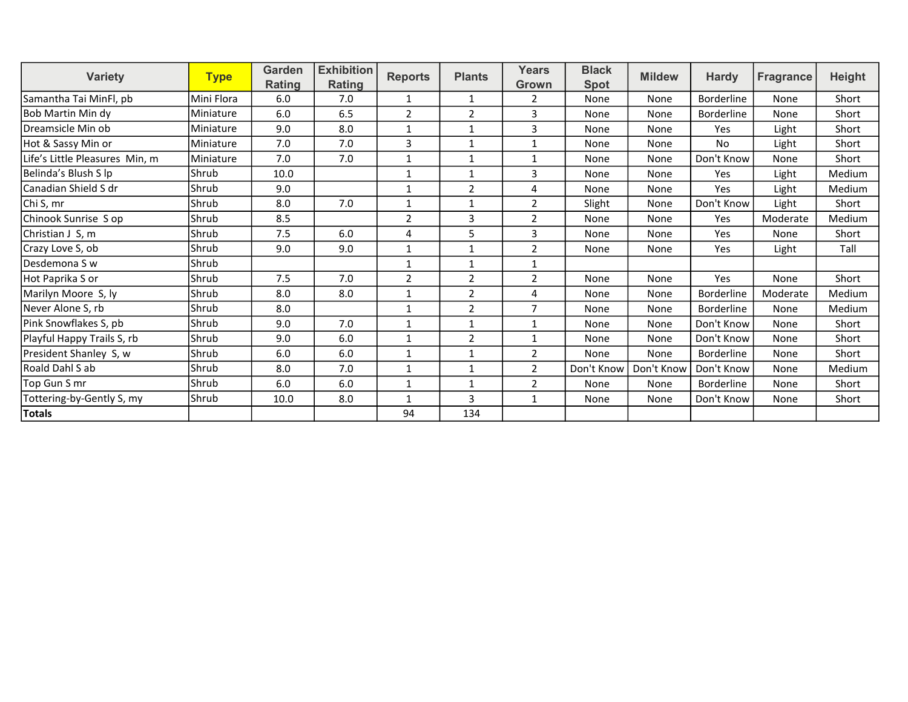| <b>Variety</b>                 | <b>Type</b> | Garden | <b>Exhibition</b><br><b>Reports</b><br>Rating | <b>Plants</b>  | <b>Years</b>   | <b>Black</b>   | <b>Mildew</b> | <b>Hardy</b> | Fragrance         | <b>Height</b> |        |
|--------------------------------|-------------|--------|-----------------------------------------------|----------------|----------------|----------------|---------------|--------------|-------------------|---------------|--------|
|                                |             | Rating |                                               |                |                | Grown          | <b>Spot</b>   |              |                   |               |        |
| Samantha Tai MinFl, pb         | Mini Flora  | 6.0    | 7.0                                           | $\mathbf{1}$   | $\mathbf{1}$   | 2              | None          | None         | <b>Borderline</b> | None          | Short  |
| lBob Martin Min dv             | Miniature   | 6.0    | 6.5                                           | $\overline{2}$ | $\overline{2}$ | 3              | None          | None         | <b>Borderline</b> | None          | Short  |
| Dreamsicle Min ob              | Miniature   | 9.0    | 8.0                                           | $\mathbf{1}$   | $\mathbf{1}$   | 3              | None          | None         | Yes               | Light         | Short  |
| Hot & Sassy Min or             | Miniature   | 7.0    | 7.0                                           | 3              | 1              | 1              | None          | None         | <b>No</b>         | Light         | Short  |
| Life's Little Pleasures Min, m | Miniature   | 7.0    | 7.0                                           | $\mathbf{1}$   | $\mathbf 1$    | 1              | None          | None         | Don't Know        | None          | Short  |
| Belinda's Blush S lp           | Shrub       | 10.0   |                                               | $\mathbf{1}$   | $\mathbf{1}$   | 3              | None          | None         | Yes               | Light         | Medium |
| lCanadian Shield S dr          | Shrub       | 9.0    |                                               | $\mathbf{1}$   | $\overline{2}$ | 4              | None          | None         | Yes               | Light         | Medium |
| Chi S, mr                      | Shrub       | 8.0    | 7.0                                           | 1              | $\mathbf{1}$   | 2              | Slight        | None         | Don't Know        | Light         | Short  |
| Chinook Sunrise S op           | Shrub       | 8.5    |                                               | 2              | 3              | $\overline{2}$ | None          | None         | Yes               | Moderate      | Medium |
| Christian J S, m               | Shrub       | 7.5    | 6.0                                           | 4              | 5              | 3              | None          | None         | Yes               | None          | Short  |
| Crazy Love S, ob               | Shrub       | 9.0    | 9.0                                           | $\mathbf{1}$   | $\mathbf{1}$   | 2              | None          | None         | Yes               | Light         | Tall   |
| Desdemona S w                  | Shrub       |        |                                               | 1              | $\mathbf{1}$   | 1              |               |              |                   |               |        |
| Hot Paprika S or               | Shrub       | 7.5    | 7.0                                           | $\overline{2}$ | $\overline{2}$ | $\overline{2}$ | None          | None         | Yes               | None          | Short  |
| Marilyn Moore S, ly            | Shrub       | 8.0    | 8.0                                           | $\mathbf{1}$   | $\overline{2}$ | 4              | None          | None         | Borderline        | Moderate      | Medium |
| Never Alone S, rb              | Shrub       | 8.0    |                                               | $\mathbf{1}$   | $\overline{2}$ | $\overline{7}$ | None          | None         | Borderline        | None          | Medium |
| Pink Snowflakes S, pb          | Shrub       | 9.0    | 7.0                                           | 1              | 1              | $\mathbf{1}$   | None          | None         | Don't Know        | None          | Short  |
| Playful Happy Trails S, rb     | Shrub       | 9.0    | 6.0                                           | 1              | $\overline{2}$ | 1              | None          | None         | Don't Know        | None          | Short  |
| President Shanley S, w         | Shrub       | 6.0    | 6.0                                           | $\mathbf{1}$   | $\mathbf{1}$   | 2              | None          | None         | <b>Borderline</b> | None          | Short  |
| lRoald Dahl S ab               | Shrub       | 8.0    | 7.0                                           | $\mathbf 1$    | $\mathbf{1}$   | $\overline{2}$ | Don't Know    | Don't Know   | Don't Know        | None          | Medium |
| Top Gun S mr                   | Shrub       | 6.0    | 6.0                                           | $\mathbf{1}$   | $\mathbf{1}$   | $\overline{2}$ | None          | None         | <b>Borderline</b> | None          | Short  |
| Tottering-by-Gently S, my      | Shrub       | 10.0   | 8.0                                           | 1              | 3              | 1              | None          | None         | Don't Know        | None          | Short  |
| Totals                         |             |        |                                               | 94             | 134            |                |               |              |                   |               |        |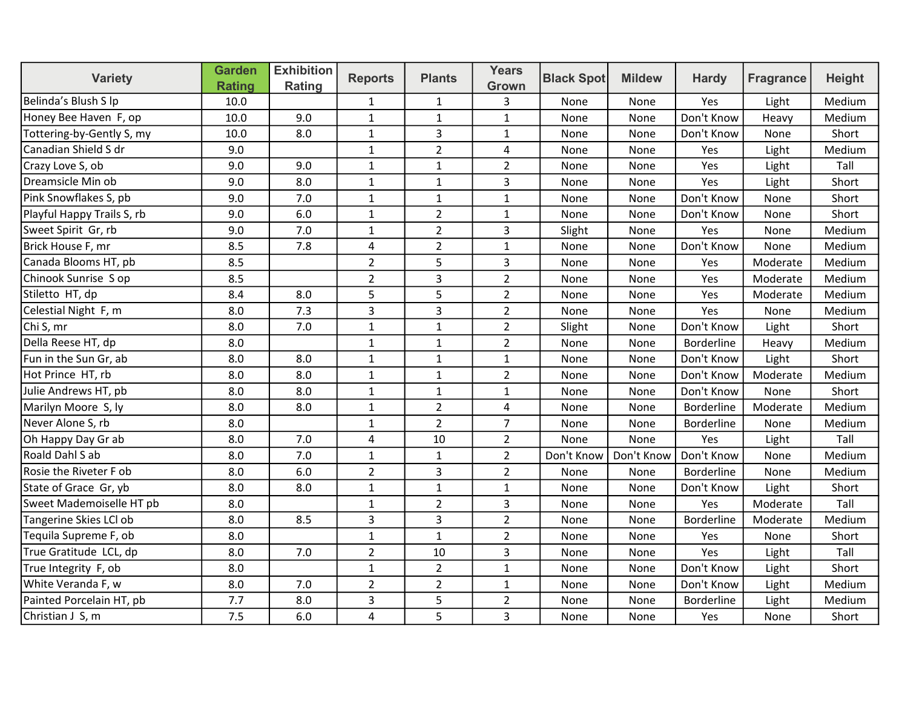| <b>Variety</b>             | <b>Garden</b><br><b>Rating</b> | <b>Exhibition</b><br>Rating | <b>Reports</b> | <b>Plants</b>  | <b>Years</b><br>Grown | <b>Black Spot</b> | <b>Mildew</b> | <b>Hardy</b>      | <b>Fragrance</b> | <b>Height</b> |
|----------------------------|--------------------------------|-----------------------------|----------------|----------------|-----------------------|-------------------|---------------|-------------------|------------------|---------------|
| Belinda's Blush S lp       | 10.0                           |                             | $\mathbf{1}$   | $\mathbf{1}$   | 3                     | None              | None          | Yes               | Light            | Medium        |
| Honey Bee Haven F, op      | 10.0                           | 9.0                         | $\mathbf{1}$   | $\mathbf{1}$   | $\mathbf{1}$          | None              | None          | Don't Know        | Heavy            | Medium        |
| Tottering-by-Gently S, my  | 10.0                           | 8.0                         | $\mathbf{1}$   | $\overline{3}$ | $\mathbf{1}$          | None              | None          | Don't Know        | None             | Short         |
| Canadian Shield S dr       | 9.0                            |                             | $\mathbf{1}$   | $\overline{2}$ | $\overline{4}$        | None              | None          | Yes               | Light            | Medium        |
| Crazy Love S, ob           | 9.0                            | 9.0                         | 1              | $\mathbf{1}$   | $\overline{2}$        | None              | None          | Yes               | Light            | Tall          |
| Dreamsicle Min ob          | 9.0                            | 8.0                         | $\mathbf{1}$   | $\mathbf{1}$   | 3                     | None              | None          | Yes               | Light            | Short         |
| Pink Snowflakes S, pb      | 9.0                            | 7.0                         | $\mathbf{1}$   | $\mathbf{1}$   | $\mathbf{1}$          | None              | None          | Don't Know        | None             | Short         |
| Playful Happy Trails S, rb | 9.0                            | 6.0                         | $\mathbf{1}$   | $\overline{2}$ | $\mathbf{1}$          | None              | None          | Don't Know        | None             | Short         |
| Sweet Spirit Gr, rb        | 9.0                            | 7.0                         | $\mathbf{1}$   | $\overline{2}$ | 3                     | Slight            | None          | Yes               | None             | Medium        |
| Brick House F, mr          | 8.5                            | 7.8                         | 4              | $\overline{2}$ | $\mathbf{1}$          | None              | None          | Don't Know        | None             | Medium        |
| Canada Blooms HT, pb       | 8.5                            |                             | $\overline{2}$ | 5              | 3                     | None              | None          | Yes               | Moderate         | Medium        |
| Chinook Sunrise S op       | 8.5                            |                             | $\overline{2}$ | 3              | $\overline{2}$        | None              | None          | Yes               | Moderate         | Medium        |
| Stiletto HT, dp            | 8.4                            | 8.0                         | 5              | 5              | $\overline{2}$        | None              | None          | Yes               | Moderate         | Medium        |
| Celestial Night F, m       | 8.0                            | 7.3                         | 3              | 3              | $\overline{2}$        | None              | None          | Yes               | None             | Medium        |
| Chi S, mr                  | 8.0                            | 7.0                         | $\mathbf{1}$   | $\mathbf{1}$   | $\overline{2}$        | Slight            | None          | Don't Know        | Light            | Short         |
| Della Reese HT, dp         | 8.0                            |                             | $\mathbf{1}$   | $\mathbf 1$    | $\overline{2}$        | None              | None          | Borderline        | Heavy            | Medium        |
| Fun in the Sun Gr, ab      | 8.0                            | 8.0                         | $\mathbf{1}$   | $\mathbf{1}$   | $\mathbf{1}$          | None              | None          | Don't Know        | Light            | Short         |
| Hot Prince HT, rb          | 8.0                            | 8.0                         | $\mathbf{1}$   | $\mathbf{1}$   | $\overline{2}$        | None              | None          | Don't Know        | Moderate         | Medium        |
| Julie Andrews HT, pb       | 8.0                            | 8.0                         | $\mathbf{1}$   | $\mathbf{1}$   | $\mathbf{1}$          | None              | None          | Don't Know        | None             | Short         |
| Marilyn Moore S, ly        | 8.0                            | 8.0                         | $\mathbf{1}$   | $\overline{2}$ | 4                     | None              | None          | <b>Borderline</b> | Moderate         | Medium        |
| Never Alone S, rb          | 8.0                            |                             | $\mathbf{1}$   | $\overline{2}$ | $\overline{7}$        | None              | None          | Borderline        | None             | Medium        |
| Oh Happy Day Gr ab         | 8.0                            | 7.0                         | $\overline{4}$ | 10             | $\overline{2}$        | None              | None          | Yes               | Light            | Tall          |
| Roald Dahl S ab            | 8.0                            | 7.0                         | $\mathbf{1}$   | $\mathbf{1}$   | $\overline{2}$        | Don't Know        | Don't Know    | Don't Know        | None             | Medium        |
| Rosie the Riveter F ob     | 8.0                            | 6.0                         | $\overline{2}$ | $\overline{3}$ | $\overline{2}$        | None              | None          | Borderline        | None             | Medium        |
| State of Grace Gr, yb      | 8.0                            | 8.0                         | 1              | $\mathbf{1}$   | $\mathbf{1}$          | None              | None          | Don't Know        | Light            | Short         |
| Sweet Mademoiselle HT pb   | 8.0                            |                             | $\mathbf{1}$   | $\overline{2}$ | 3                     | None              | None          | Yes               | Moderate         | Tall          |
| Tangerine Skies LCI ob     | 8.0                            | 8.5                         | 3              | 3              | $\overline{2}$        | None              | None          | Borderline        | Moderate         | Medium        |
| Tequila Supreme F, ob      | 8.0                            |                             | $\mathbf{1}$   | $\mathbf{1}$   | $\overline{2}$        | None              | None          | Yes               | None             | Short         |
| True Gratitude LCL, dp     | 8.0                            | 7.0                         | $\overline{2}$ | 10             | 3                     | None              | None          | Yes               | Light            | Tall          |
| True Integrity F, ob       | 8.0                            |                             | $\mathbf{1}$   | $\overline{2}$ | $\mathbf 1$           | None              | None          | Don't Know        | Light            | Short         |
| White Veranda F, w         | 8.0                            | 7.0                         | $\overline{2}$ | $\overline{2}$ | $\mathbf 1$           | None              | None          | Don't Know        | Light            | Medium        |
| Painted Porcelain HT, pb   | 7.7                            | 8.0                         | 3              | 5              | $\overline{2}$        | None              | None          | Borderline        | Light            | Medium        |
| Christian J S, m           | 7.5                            | 6.0                         | 4              | 5              | $\overline{3}$        | None              | None          | Yes               | None             | Short         |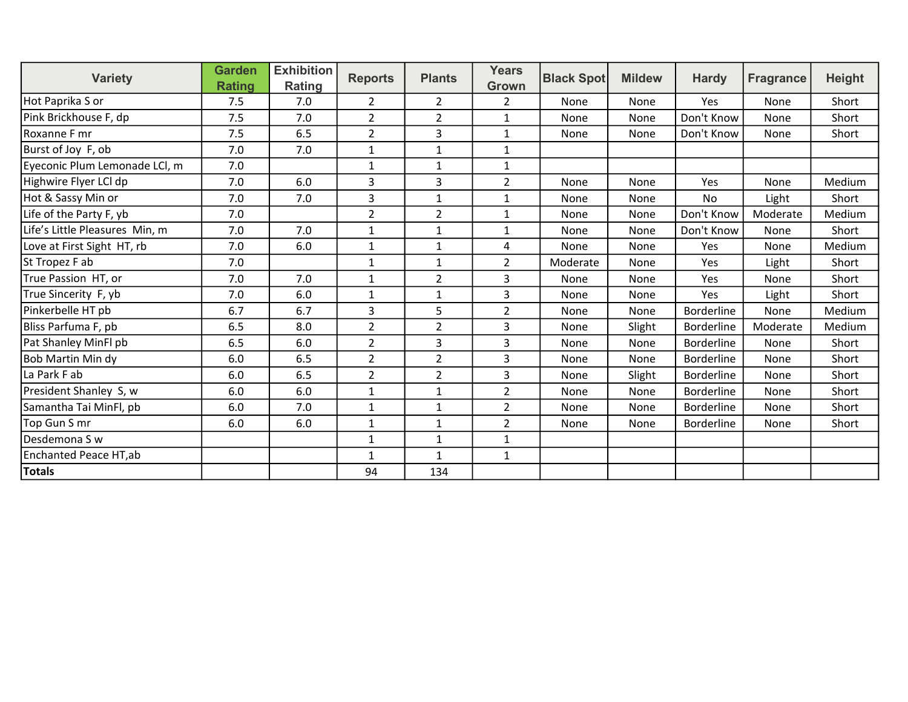| <b>Variety</b>                 | <b>Garden</b> | <b>Exhibition</b> | <b>Reports</b> | <b>Plants</b>  | <b>Years</b>   | <b>Black Spot</b> | <b>Mildew</b> | <b>Hardy</b>      | <b>Fragrance</b> | <b>Height</b> |
|--------------------------------|---------------|-------------------|----------------|----------------|----------------|-------------------|---------------|-------------------|------------------|---------------|
|                                | <b>Rating</b> | Rating            |                |                | Grown          |                   |               |                   |                  |               |
| Hot Paprika S or               | 7.5           | 7.0               | $\overline{2}$ | $\overline{2}$ | $\overline{2}$ | None              | None          | Yes               | None             | Short         |
| Pink Brickhouse F, dp          | 7.5           | 7.0               | $\overline{2}$ | $\overline{2}$ | $\mathbf{1}$   | None              | None          | Don't Know        | None             | Short         |
| Roxanne F mr                   | 7.5           | 6.5               | $\overline{2}$ | 3              | $\mathbf{1}$   | None              | None          | Don't Know        | None             | Short         |
| Burst of Joy F, ob             | 7.0           | 7.0               | 1              | 1              | 1              |                   |               |                   |                  |               |
| Eyeconic Plum Lemonade LCI, m  | 7.0           |                   | 1              | $\mathbf{1}$   | 1              |                   |               |                   |                  |               |
| Highwire Flyer LCI dp          | 7.0           | 6.0               | 3              | 3              | $\overline{2}$ | None              | None          | Yes               | None             | Medium        |
| Hot & Sassy Min or             | 7.0           | 7.0               | 3              | $\mathbf{1}$   | 1              | None              | None          | No                | Light            | Short         |
| Life of the Party F, yb        | 7.0           |                   | $\overline{2}$ | $\overline{2}$ | $\mathbf{1}$   | None              | None          | Don't Know        | Moderate         | Medium        |
| Life's Little Pleasures Min, m | 7.0           | 7.0               | 1              | $\mathbf{1}$   | 1              | None              | None          | Don't Know        | None             | Short         |
| Love at First Sight HT, rb     | 7.0           | 6.0               | $\mathbf{1}$   | $\mathbf{1}$   | 4              | None              | None          | Yes               | None             | Medium        |
| St Tropez F ab                 | 7.0           |                   | $\mathbf{1}$   | $\mathbf{1}$   | $\overline{2}$ | Moderate          | None          | Yes               | Light            | Short         |
| True Passion HT, or            | 7.0           | 7.0               | $\mathbf{1}$   | $\overline{2}$ | 3              | None              | None          | Yes               | None             | Short         |
| True Sincerity F, yb           | 7.0           | 6.0               | 1              | 1              | 3              | None              | None          | <b>Yes</b>        | Light            | Short         |
| Pinkerbelle HT pb              | 6.7           | 6.7               | 3              | 5              | $\overline{2}$ | None              | None          | <b>Borderline</b> | None             | Medium        |
| Bliss Parfuma F, pb            | 6.5           | 8.0               | 2              | $\overline{2}$ | 3              | None              | Slight        | Borderline        | Moderate         | Medium        |
| Pat Shanley MinFl pb           | 6.5           | 6.0               | $\overline{2}$ | 3              | 3              | None              | None          | <b>Borderline</b> | None             | Short         |
| Bob Martin Min dy              | 6.0           | 6.5               | $\overline{2}$ | $\overline{2}$ | 3              | None              | None          | <b>Borderline</b> | None             | Short         |
| La Park F ab                   | 6.0           | 6.5               | $\overline{2}$ | $\overline{2}$ | 3              | None              | Slight        | <b>Borderline</b> | None             | Short         |
| President Shanley S, w         | 6.0           | 6.0               | 1              | $\mathbf{1}$   | $\overline{2}$ | None              | None          | <b>Borderline</b> | None             | Short         |
| Samantha Tai MinFl, pb         | 6.0           | 7.0               | $\mathbf{1}$   | $\mathbf{1}$   | $\overline{2}$ | None              | None          | Borderline        | None             | Short         |
| Top Gun S mr                   | 6.0           | 6.0               | $\mathbf{1}$   | $\mathbf{1}$   | $\overline{2}$ | None              | None          | <b>Borderline</b> | None             | Short         |
| Desdemona S w                  |               |                   | 1              | 1              | 1              |                   |               |                   |                  |               |
| Enchanted Peace HT,ab          |               |                   | 1              | 1              | 1              |                   |               |                   |                  |               |
| Totals                         |               |                   | 94             | 134            |                |                   |               |                   |                  |               |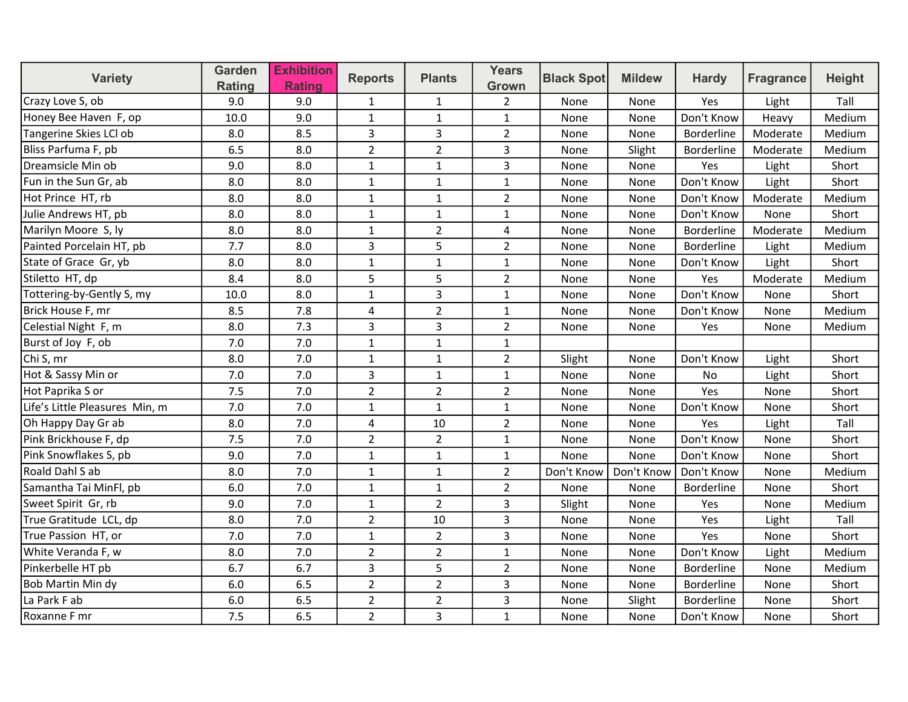| <b>Variety</b>                 | <b>Garden</b><br>Rating | <b>Exhibition</b><br><b>Rating</b> | <b>Reports</b> | <b>Plants</b>  | <b>Years</b><br>Grown | <b>Black Spot</b> | <b>Mildew</b> | <b>Hardy</b> | <b>Fragrance</b> | <b>Height</b> |
|--------------------------------|-------------------------|------------------------------------|----------------|----------------|-----------------------|-------------------|---------------|--------------|------------------|---------------|
| Crazy Love S, ob               | 9.0                     | 9.0                                | 1              | $\mathbf{1}$   | $\overline{2}$        | None              | None          | Yes          | Light            | Tall          |
| Honey Bee Haven F, op          | 10.0                    | 9.0                                | $\mathbf{1}$   | $\mathbf{1}$   | $\mathbf{1}$          | None              | None          | Don't Know   | Heavy            | Medium        |
| Tangerine Skies LCI ob         | 8.0                     | 8.5                                | 3              | 3              | $\overline{2}$        | None              | None          | Borderline   | Moderate         | Medium        |
| Bliss Parfuma F, pb            | 6.5                     | 8.0                                | $\overline{2}$ | $\overline{2}$ | $\overline{3}$        | None              | Slight        | Borderline   | Moderate         | Medium        |
| Dreamsicle Min ob              | 9.0                     | 8.0                                | 1              | $\mathbf{1}$   | 3                     | None              | None          | Yes          | Light            | Short         |
| Fun in the Sun Gr, ab          | 8.0                     | 8.0                                | $\mathbf{1}$   | $\mathbf{1}$   | $\mathbf{1}$          | None              | None          | Don't Know   | Light            | Short         |
| Hot Prince HT, rb              | 8.0                     | 8.0                                | $\mathbf{1}$   | $\mathbf{1}$   | $\overline{2}$        | None              | None          | Don't Know   | Moderate         | Medium        |
| Julie Andrews HT, pb           | 8.0                     | 8.0                                | $\mathbf{1}$   | $\mathbf{1}$   | $\mathbf{1}$          | None              | None          | Don't Know   | None             | Short         |
| Marilyn Moore S, ly            | 8.0                     | 8.0                                | $\mathbf{1}$   | $\overline{2}$ | 4                     | None              | None          | Borderline   | Moderate         | Medium        |
| Painted Porcelain HT, pb       | 7.7                     | 8.0                                | 3              | 5              | $\overline{2}$        | None              | None          | Borderline   | Light            | Medium        |
| State of Grace Gr, yb          | 8.0                     | 8.0                                | $\mathbf{1}$   | $\mathbf 1$    | $\mathbf{1}$          | None              | None          | Don't Know   | Light            | Short         |
| Stiletto HT, dp                | 8.4                     | 8.0                                | 5              | 5              | $\overline{2}$        | None              | None          | Yes          | Moderate         | Medium        |
| Tottering-by-Gently S, my      | 10.0                    | 8.0                                | $\mathbf{1}$   | $\overline{3}$ | $\mathbf{1}$          | None              | None          | Don't Know   | None             | Short         |
| Brick House F, mr              | 8.5                     | 7.8                                | 4              | $\overline{2}$ | $\mathbf{1}$          | None              | None          | Don't Know   | None             | Medium        |
| Celestial Night F, m           | 8.0                     | 7.3                                | 3              | $\overline{3}$ | $\overline{2}$        | None              | None          | Yes          | None             | Medium        |
| Burst of Joy F, ob             | 7.0                     | 7.0                                | $\mathbf{1}$   | $\mathbf{1}$   | $\mathbf{1}$          |                   |               |              |                  |               |
| Chi S, mr                      | 8.0                     | 7.0                                | $\mathbf{1}$   | $\mathbf{1}$   | $\overline{2}$        | Slight            | None          | Don't Know   | Light            | Short         |
| Hot & Sassy Min or             | 7.0                     | 7.0                                | 3              | $\mathbf{1}$   | $\mathbf{1}$          | None              | None          | <b>No</b>    | Light            | Short         |
| Hot Paprika S or               | 7.5                     | 7.0                                | $\overline{2}$ | $\overline{2}$ | $\overline{2}$        | None              | None          | Yes          | None             | Short         |
| Life's Little Pleasures Min, m | 7.0                     | 7.0                                | $\mathbf{1}$   | $\mathbf{1}$   | $\mathbf{1}$          | None              | None          | Don't Know   | None             | Short         |
| Oh Happy Day Gr ab             | 8.0                     | 7.0                                | 4              | 10             | $\overline{2}$        | None              | None          | Yes          | Light            | Tall          |
| Pink Brickhouse F, dp          | 7.5                     | 7.0                                | $\overline{2}$ | $\overline{2}$ | $\mathbf{1}$          | None              | None          | Don't Know   | None             | Short         |
| Pink Snowflakes S, pb          | 9.0                     | 7.0                                | $\mathbf{1}$   | $\mathbf{1}$   | $\mathbf{1}$          | None              | None          | Don't Know   | None             | Short         |
| Roald Dahl S ab                | 8.0                     | 7.0                                | $\mathbf{1}$   | $\mathbf{1}$   | $\overline{2}$        | Don't Know        | Don't Know    | Don't Know   | None             | Medium        |
| Samantha Tai MinFl, pb         | 6.0                     | 7.0                                | $\mathbf{1}$   | $\mathbf 1$    | $\overline{2}$        | None              | None          | Borderline   | None             | Short         |
| Sweet Spirit Gr, rb            | 9.0                     | 7.0                                | $\mathbf{1}$   | $\overline{2}$ | 3                     | Slight            | None          | Yes          | None             | Medium        |
| True Gratitude LCL, dp         | 8.0                     | 7.0                                | $\overline{2}$ | 10             | $\overline{3}$        | None              | None          | Yes          | Light            | Tall          |
| True Passion HT, or            | 7.0                     | 7.0                                | $\mathbf{1}$   | $\overline{2}$ | 3                     | None              | None          | Yes          | None             | Short         |
| White Veranda F, w             | 8.0                     | 7.0                                | $\overline{2}$ | $\overline{2}$ | $\mathbf{1}$          | None              | None          | Don't Know   | Light            | Medium        |
| Pinkerbelle HT pb              | 6.7                     | 6.7                                | 3              | 5              | $\overline{2}$        | None              | None          | Borderline   | None             | Medium        |
| Bob Martin Min dy              | 6.0                     | 6.5                                | $\overline{2}$ | $\overline{2}$ | $\overline{3}$        | None              | None          | Borderline   | None             | Short         |
| La Park F ab                   | 6.0                     | 6.5                                | $\overline{2}$ | $\overline{2}$ | 3                     | None              | Slight        | Borderline   | None             | Short         |
| Roxanne F mr                   | 7.5                     | 6.5                                | $\overline{2}$ | $\overline{3}$ | $\mathbf{1}$          | None              | None          | Don't Know   | None             | Short         |